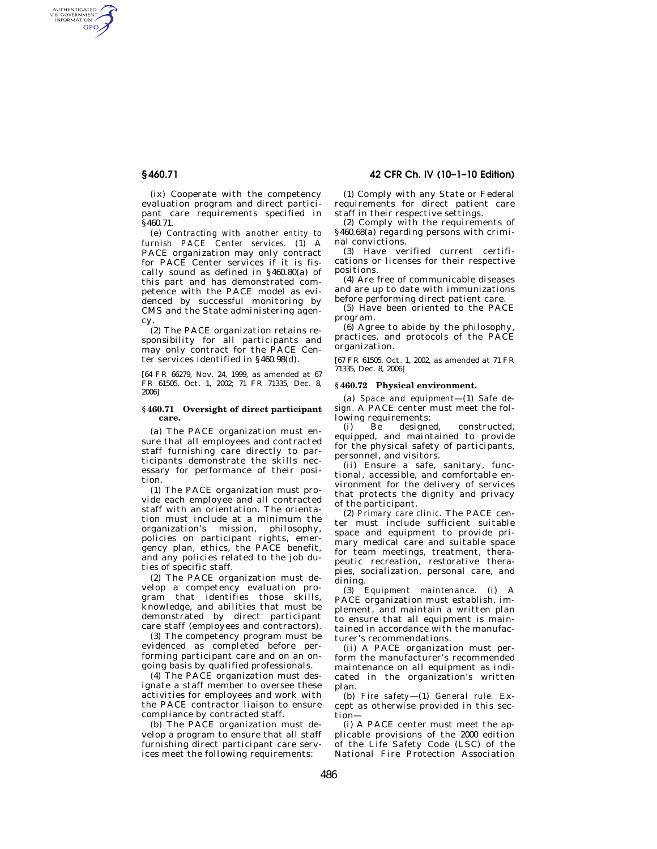AUTHENTICATED<br>U.S. GOVERNMENT<br>INFORMATION GPO

> (ix) Cooperate with the competency evaluation program and direct participant care requirements specified in

§460.71. (e) *Contracting with another entity to furnish PACE Center services.* (1) A PACE organization may only contract for PACE Center services if it is fiscally sound as defined in §460.80(a) of this part and has demonstrated competence with the PACE model as evidenced by successful monitoring by CMS and the State administering agen-

cy. (2) The PACE organization retains responsibility for all participants and may only contract for the PACE Center services identified in §460.98(d).

[64 FR 66279, Nov. 24, 1999, as amended at 67 FR 61505, Oct. 1, 2002; 71 FR 71335, Dec. 8, 2006]

#### **§ 460.71 Oversight of direct participant care.**

(a) The PACE organization must ensure that all employees and contracted staff furnishing care directly to participants demonstrate the skills necessary for performance of their position.

(1) The PACE organization must provide each employee and all contracted staff with an orientation. The orientation must include at a minimum the organization's mission, philosophy, policies on participant rights, emergency plan, ethics, the PACE benefit, and any policies related to the job duties of specific staff.

(2) The PACE organization must develop a competency evaluation program that identifies those skills, knowledge, and abilities that must be demonstrated by direct participant care staff (employees and contractors).

(3) The competency program must be evidenced as completed before performing participant care and on an ongoing basis by qualified professionals.

(4) The PACE organization must designate a staff member to oversee these activities for employees and work with the PACE contractor liaison to ensure compliance by contracted staff.

(b) The PACE organization must develop a program to ensure that all staff furnishing direct participant care services meet the following requirements:

# **§ 460.71 42 CFR Ch. IV (10–1–10 Edition)**

(1) Comply with any State or Federal requirements for direct patient care staff in their respective settings.

(2) Comply with the requirements of §460.68(a) regarding persons with criminal convictions.

(3) Have verified current certifications or licenses for their respective positions.

(4) Are free of communicable diseases and are up to date with immunizations before performing direct patient care.

(5) Have been oriented to the PACE program.

(6) Agree to abide by the philosophy, practices, and protocols of the PACE organization.

[67 FR 61505, Oct. 1, 2002, as amended at 71 FR 71335, Dec. 8, 2006]

## **§ 460.72 Physical environment.**

(a) *Space and equipment*—(1) *Safe design.* A PACE center must meet the following requirements:

(i) Be designed, constructed, equipped, and maintained to provide for the physical safety of participants, personnel, and visitors.

(ii) Ensure a safe, sanitary, functional, accessible, and comfortable environment for the delivery of services that protects the dignity and privacy of the participant.

(2) *Primary care clinic.* The PACE center must include sufficient suitable space and equipment to provide primary medical care and suitable space for team meetings, treatment, therapeutic recreation, restorative therapies, socialization, personal care, and dining.

(3) *Equipment maintenance.* (i) A PACE organization must establish, implement, and maintain a written plan to ensure that all equipment is maintained in accordance with the manufacturer's recommendations.

(ii) A PACE organization must perform the manufacturer's recommended maintenance on all equipment as indicated in the organization's written plan.

(b) *Fire safety*—(1) *General rule.* Except as otherwise provided in this section—

(i) A PACE center must meet the applicable provisions of the 2000 edition of the Life Safety Code (LSC) of the National Fire Protection Association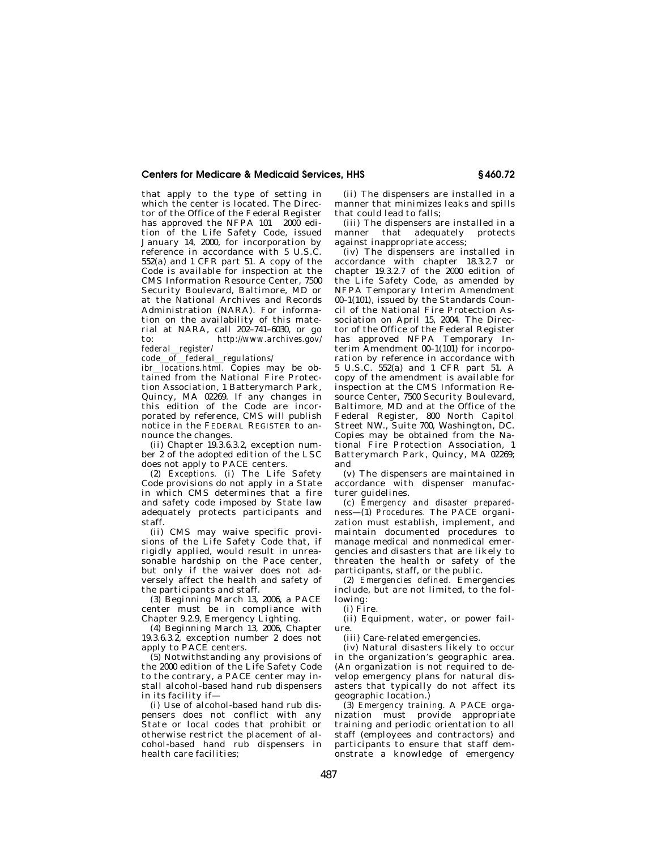## **Centers for Medicare & Medicaid Services, HHS § 460.72**

that apply to the type of setting in which the center is located. The Director of the Office of the Federal Register has approved the NFPA  $101 \text{ }^{\circ}$  2000 edition of the Life Safety Code, issued January 14, 2000, for incorporation by reference in accordance with 5 U.S.C. 552(a) and 1 CFR part 51. A copy of the Code is available for inspection at the CMS Information Resource Center, 7500 Security Boulevard, Baltimore, MD or at the National Archives and Records Administration (NARA). For information on the availability of this material at NARA, call 202–741–6030, or go to: *http://www.archives.gov/* 

*federal*l*register/* 

*code*l*of*l*federal*l*regulations/* 

*ibr\_locations.html.* Copies may be ob-<br>tained from the National Fire Protection Association, 1 Batterymarch Park, Quincy, MA 02269. If any changes in this edition of the Code are incorporated by reference, CMS will publish notice in the FEDERAL REGISTER to announce the changes.

(ii) Chapter 19.3.6.3.2, exception number 2 of the adopted edition of the LSC does not apply to PACE centers.

(2) *Exceptions.* (i) The Life Safety Code provisions do not apply in a State in which CMS determines that a fire and safety code imposed by State law adequately protects participants and staff.

(ii) CMS may waive specific provisions of the Life Safety Code that, if rigidly applied, would result in unreasonable hardship on the Pace center, but only if the waiver does not adversely affect the health and safety of the participants and staff.

(3) Beginning March 13, 2006, a PACE center must be in compliance with Chapter 9.2.9, Emergency Lighting.

(4) Beginning March 13, 2006, Chapter 19.3.6.3.2, exception number 2 does not apply to PACE centers.

(5) Notwithstanding any provisions of the 2000 edition of the Life Safety Code to the contrary, a PACE center may install alcohol-based hand rub dispensers in its facility if—

(i) Use of alcohol-based hand rub dispensers does not conflict with any State or local codes that prohibit or otherwise restrict the placement of alcohol-based hand rub dispensers in health care facilities;

(ii) The dispensers are installed in a manner that minimizes leaks and spills that could lead to falls;

(iii) The dispensers are installed in a manner that adequately protects against inappropriate access;

 $(iv)$  The dispensers are installed in accordance with chapter 18.3.2.7 or chapter 19.3.2.7 of the 2000 edition of the Life Safety Code, as amended by NFPA Temporary Interim Amendment  $00-1(101)$ , issued by the Standards Council of the National Fire Protection Association on April 15, 2004. The Director of the Office of the Federal Register has approved NFPA Temporary Interim Amendment 00–1(101) for incorporation by reference in accordance with 5 U.S.C. 552(a) and 1 CFR part 51. A copy of the amendment is available for inspection at the CMS Information Resource Center, 7500 Security Boulevard, Baltimore, MD and at the Office of the Federal Register, 800 North Capitol Street NW., Suite 700, Washington, DC. Copies may be obtained from the National Fire Protection Association, 1 Batterymarch Park, Quincy, MA 02269; and

(v) The dispensers are maintained in accordance with dispenser manufacturer guidelines.

(c) *Emergency and disaster preparedness*—(1) *Procedures.* The PACE organization must establish, implement, and maintain documented procedures to manage medical and nonmedical emergencies and disasters that are likely to threaten the health or safety of the participants, staff, or the public.

(2) *Emergencies defined.* Emergencies include, but are not limited, to the following:

(i) Fire.

(ii) Equipment, water, or power failure.

(iii) Care-related emergencies.

(iv) Natural disasters likely to occur in the organization's geographic area. (An organization is not required to develop emergency plans for natural disasters that typically do not affect its geographic location.)

(3) *Emergency training.* A PACE organization must provide appropriate training and periodic orientation to all staff (employees and contractors) and participants to ensure that staff demonstrate a knowledge of emergency